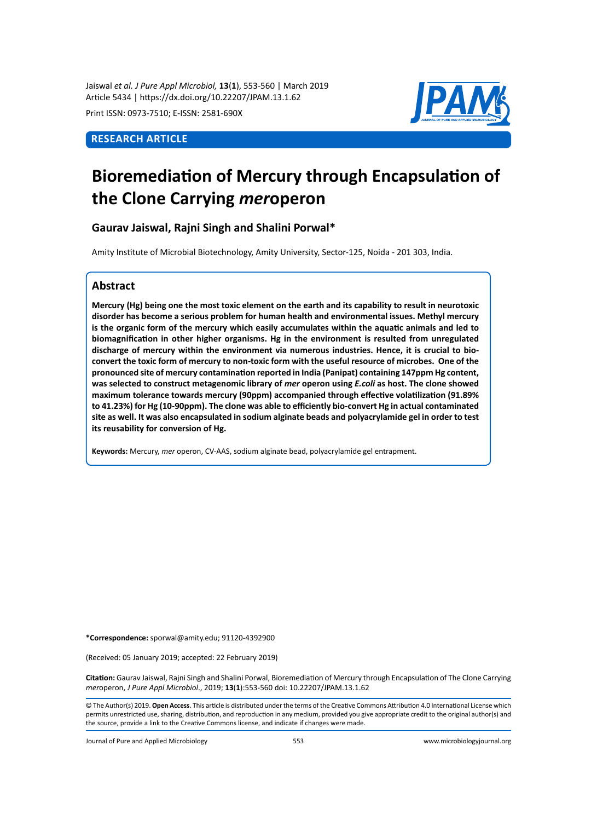Jaiswal *et al. J Pure Appl Microbiol,* **13**(**1**), 553-560 | March 2019 Article 5434 | https://dx.doi.org/10.22207/JPAM.13.1.62

Print ISSN: 0973-7510; E-ISSN: 2581-690X

# **Research Article**



# **Bioremediation of Mercury through Encapsulation of the Clone Carrying** *mer***operon**

**Gaurav Jaiswal, Rajni Singh and Shalini Porwal\***

Amity Institute of Microbial Biotechnology, Amity University, Sector-125, Noida - 201 303, India.

# **Abstract**

**Mercury (Hg) being one the most toxic element on the earth and its capability to result in neurotoxic disorder has become a serious problem for human health and environmental issues. Methyl mercury is the organic form of the mercury which easily accumulates within the aquatic animals and led to biomagnification in other higher organisms. Hg in the environment is resulted from unregulated discharge of mercury within the environment via numerous industries. Hence, it is crucial to bioconvert the toxic form of mercury to non-toxic form with the useful resource of microbes. One of the pronounced site of mercury contamination reported in India (Panipat) containing 147ppm Hg content, was selected to construct metagenomic library of** *mer* **operon using** *E.coli* **as host. The clone showed maximum tolerance towards mercury (90ppm) accompanied through effective volatilization (91.89% to 41.23%) for Hg (10-90ppm). The clone was able to efficiently bio-convert Hg in actual contaminated site as well. It was also encapsulated in sodium alginate beads and polyacrylamide gel in order to test its reusability for conversion of Hg.** 

**Keywords:** Mercury, *mer* operon, CV-AAS, sodium alginate bead, polyacrylamide gel entrapment.

**\*Correspondence:** sporwal@amity.edu; 91120-4392900

(Received: 05 January 2019; accepted: 22 February 2019)

**Citation:** Gaurav Jaiswal, Rajni Singh and Shalini Porwal, Bioremediation of Mercury through Encapsulation of The Clone Carrying *mer*operon, *J Pure Appl Microbiol*., 2019; **13**(**1**):553-560 doi: 10.22207/JPAM.13.1.62

© The Author(s) 2019. **Open Access**. This article is distributed under the terms of the Creative Commons Attribution 4.0 International License which permits unrestricted use, sharing, distribution, and reproduction in any medium, provided you give appropriate credit to the original author(s) and the source, provide a link to the Creative Commons license, and indicate if changes were made.

Journal of Pure and Applied Microbiology 553 www.microbiologyjournal.org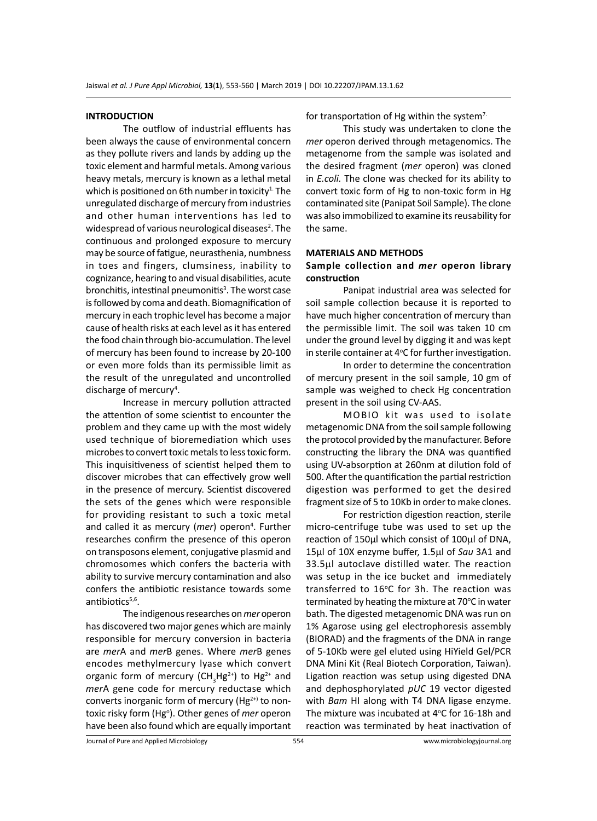#### **INTRODUCTION**

The outflow of industrial effluents has been always the cause of environmental concern as they pollute rivers and lands by adding up the toxic element and harmful metals. Among various heavy metals, mercury is known as a lethal metal which is positioned on 6th number in toxicity<sup>1.</sup> The unregulated discharge of mercury from industries and other human interventions has led to widespread of various neurological diseases<sup>2</sup>. The continuous and prolonged exposure to mercury may be source of fatigue, neurasthenia, numbness in toes and fingers, clumsiness, inability to cognizance, hearing to and visual disabilities, acute bronchitis, intestinal pneumonitis<sup>3</sup>. The worst case is followed by coma and death. Biomagnification of mercury in each trophic level has become a major cause of health risks at each level as it has entered the food chain through bio-accumulation. The level of mercury has been found to increase by 20-100 or even more folds than its permissible limit as the result of the unregulated and uncontrolled discharge of mercury<sup>4</sup>.

Increase in mercury pollution attracted the attention of some scientist to encounter the problem and they came up with the most widely used technique of bioremediation which uses microbes to convert toxic metals to less toxic form. This inquisitiveness of scientist helped them to discover microbes that can effectively grow well in the presence of mercury. Scientist discovered the sets of the genes which were responsible for providing resistant to such a toxic metal and called it as mercury (mer) operon<sup>4</sup>. Further researches confirm the presence of this operon on transposons element, conjugative plasmid and chromosomes which confers the bacteria with ability to survive mercury contamination and also confers the antibiotic resistance towards some antibiotics $5,6$ .

The indigenous researches on *mer* operon has discovered two major genes which are mainly responsible for mercury conversion in bacteria are *mer*A and *mer*B genes. Where *mer*B genes encodes methylmercury lyase which convert organic form of mercury (CH<sub>3</sub>Hg<sup>2+</sup>) to Hg<sup>2+</sup> and *mer*A gene code for mercury reductase which converts inorganic form of mercury ( $Hg^{2+1}$  to nontoxic risky form (Hg<sup>o</sup>). Other genes of *mer* operon have been also found which are equally important

for transportation of Hg within the system<sup>7.</sup>

This study was undertaken to clone the *mer* operon derived through metagenomics. The metagenome from the sample was isolated and the desired fragment (*mer* operon) was cloned in *E.coli.* The clone was checked for its ability to convert toxic form of Hg to non-toxic form in Hg contaminated site (Panipat Soil Sample). The clone was also immobilized to examine its reusability for the same.

#### **MATERIALS AND METHODS**

### **Sample collection and** *mer* **operon library construction**

Panipat industrial area was selected for soil sample collection because it is reported to have much higher concentration of mercury than the permissible limit. The soil was taken 10 cm under the ground level by digging it and was kept in sterile container at 4°C for further investigation.

In order to determine the concentration of mercury present in the soil sample, 10 gm of sample was weighed to check Hg concentration present in the soil using CV-AAS.

MOBIO kit was used to isolate metagenomic DNA from the soil sample following the protocol provided by the manufacturer. Before constructing the library the DNA was quantified using UV-absorption at 260nm at dilution fold of 500. After the quantification the partial restriction digestion was performed to get the desired fragment size of 5 to 10Kb in order to make clones.

For restriction digestion reaction, sterile micro-centrifuge tube was used to set up the reaction of 150µl which consist of 100µl of DNA, 15µl of 10X enzyme buffer, 1.5µl of *Sau* 3A1 and 33.5µl autoclave distilled water. The reaction was setup in the ice bucket and immediately transferred to 16°C for 3h. The reaction was terminated by heating the mixture at 70°C in water bath. The digested metagenomic DNA was run on 1% Agarose using gel electrophoresis assembly (BIORAD) and the fragments of the DNA in range of 5-10Kb were gel eluted using HiYield Gel/PCR DNA Mini Kit (Real Biotech Corporation, Taiwan). Ligation reaction was setup using digested DNA and dephosphorylated *pUC* 19 vector digested with *Bam* HI along with T4 DNA ligase enzyme. The mixture was incubated at  $4^{\circ}$ C for 16-18h and reaction was terminated by heat inactivation of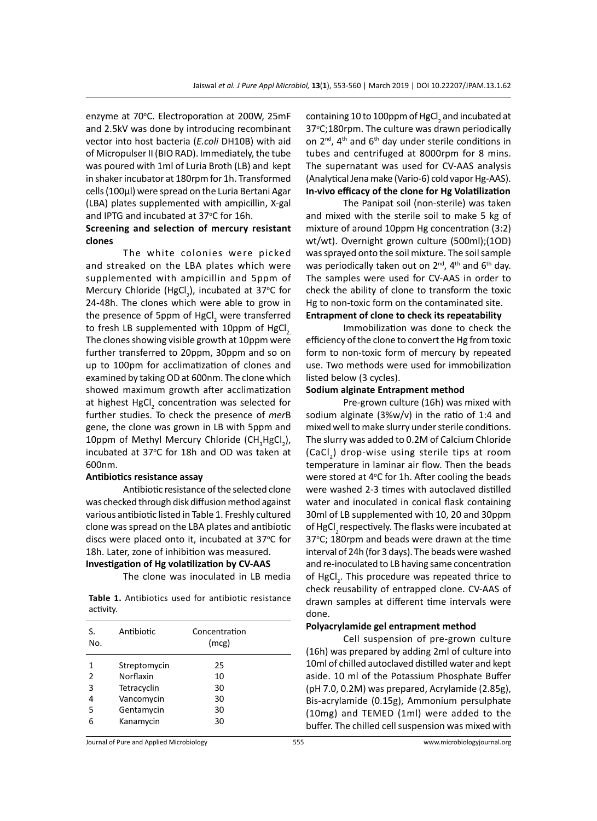enzyme at 70°C. Electroporation at 200W, 25mF and 2.5kV was done by introducing recombinant vector into host bacteria (*E.coli* DH10B) with aid of Micropulser II (BIO RAD). Immediately, the tube was poured with 1ml of Luria Broth (LB) and kept in shaker incubator at 180rpm for 1h. Transformed cells (100µl) were spread on the Luria Bertani Agar (LBA) plates supplemented with ampicillin, X-gal and IPTG and incubated at 37°C for 16h.

# **Screening and selection of mercury resistant clones**

The white colonies were picked and streaked on the LBA plates which were supplemented with ampicillin and 5ppm of Mercury Chloride (HgCl<sub>2</sub>), incubated at 37°C for 24-48h. The clones which were able to grow in the presence of 5ppm of HgCl<sub>2</sub> were transferred to fresh LB supplemented with 10ppm of HgCl<sub>2</sub>. The clones showing visible growth at 10ppm were further transferred to 20ppm, 30ppm and so on up to 100pm for acclimatization of clones and examined by taking OD at 600nm. The clone which showed maximum growth after acclimatization at highest HgCl<sub>2</sub> concentration was selected for further studies. To check the presence of *mer*B gene, the clone was grown in LB with 5ppm and 10ppm of Methyl Mercury Chloride (CH<sub>3</sub>HgCl<sub>2</sub>), incubated at 37°C for 18h and OD was taken at 600nm.

#### **Antibiotics resistance assay**

Antibiotic resistance of the selected clone was checked through disk diffusion method against various antibiotic listed in Table 1. Freshly cultured clone was spread on the LBA plates and antibiotic discs were placed onto it, incubated at 37°C for 18h. Later, zone of inhibition was measured. **Investigation of Hg volatilization by CV-AAS**

The clone was inoculated in LB media

**Table 1.** Antibiotics used for antibiotic resistance activity.

| S.<br>No.      | Antibiotic   | Concentration<br>(mcg) |  |
|----------------|--------------|------------------------|--|
| 1              | Streptomycin | 25                     |  |
| $\overline{2}$ | Norflaxin    | 10                     |  |
| 3              | Tetracyclin  | 30                     |  |
| 4              | Vancomycin   | 30                     |  |
| 5              | Gentamycin   | 30                     |  |
| 6              | Kanamycin    | 30                     |  |
|                |              |                        |  |

containing 10 to 100ppm of HgCl $_2$  and incubated at 37°C;180rpm. The culture was drawn periodically on  $2^{nd}$ ,  $4^{th}$  and  $6^{th}$  day under sterile conditions in tubes and centrifuged at 8000rpm for 8 mins. The supernatant was used for CV-AAS analysis (Analytical Jena make (Vario-6) cold vapor Hg-AAS). **In-vivo efficacy of the clone for Hg Volatilization**

The Panipat soil (non-sterile) was taken and mixed with the sterile soil to make 5 kg of mixture of around 10ppm Hg concentration (3:2) wt/wt). Overnight grown culture (500ml);(1OD) was sprayed onto the soil mixture. The soil sample was periodically taken out on  $2^{nd}$ ,  $4^{th}$  and  $6^{th}$  day. The samples were used for CV-AAS in order to check the ability of clone to transform the toxic Hg to non-toxic form on the contaminated site.

# **Entrapment of clone to check its repeatability**

Immobilization was done to check the efficiency of the clone to convert the Hg from toxic form to non-toxic form of mercury by repeated use. Two methods were used for immobilization listed below (3 cycles).

#### **Sodium alginate Entrapment method**

Pre-grown culture (16h) was mixed with sodium alginate (3%w/v) in the ratio of 1:4 and mixed well to make slurry under sterile conditions. The slurry was added to 0.2M of Calcium Chloride (CaCl<sub>2</sub>) drop-wise using sterile tips at room temperature in laminar air flow. Then the beads were stored at 4°C for 1h. After cooling the beads were washed 2-3 times with autoclaved distilled water and inoculated in conical flask containing 30ml of LB supplemented with 10, 20 and 30ppm of HgCl<sub>2</sub> respectively. The flasks were incubated at 37°C; 180rpm and beads were drawn at the time interval of 24h (for 3 days). The beads were washed and re-inoculated to LB having same concentration of HgCl<sub>2</sub>. This procedure was repeated thrice to check reusability of entrapped clone. CV-AAS of drawn samples at different time intervals were done.

#### **Polyacrylamide gel entrapment method**

Cell suspension of pre-grown culture (16h) was prepared by adding 2ml of culture into 10ml of chilled autoclaved distilled water and kept aside. 10 ml of the Potassium Phosphate Buffer (pH 7.0, 0.2M) was prepared, Acrylamide (2.85g), Bis-acrylamide (0.15g), Ammonium persulphate (10mg) and TEMED (1ml) were added to the buffer. The chilled cell suspension was mixed with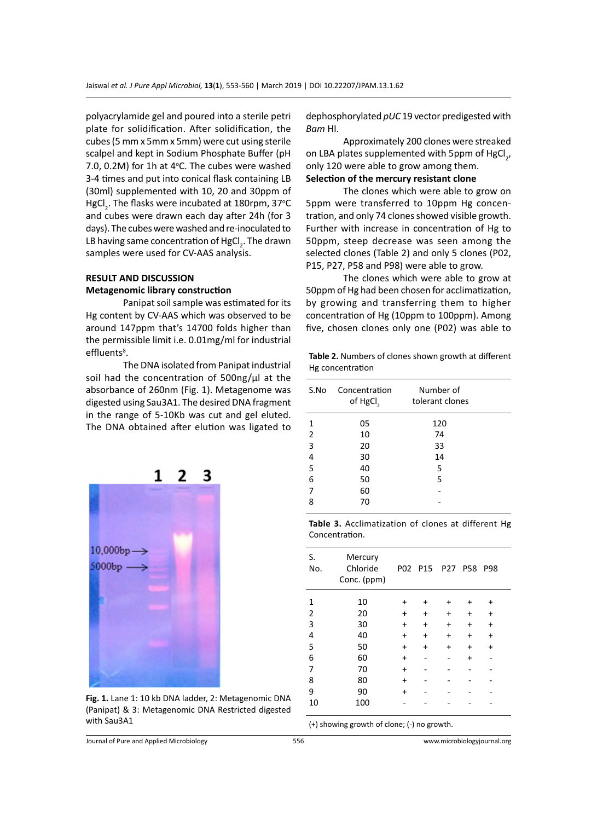polyacrylamide gel and poured into a sterile petri plate for solidification. After solidification, the cubes (5 mm x 5mm x 5mm) were cut using sterile scalpel and kept in Sodium Phosphate Buffer (pH 7.0, 0.2M) for 1h at  $4^{\circ}$ C. The cubes were washed 3-4 times and put into conical flask containing LB (30ml) supplemented with 10, 20 and 30ppm of HgCl<sub>2</sub>. The flasks were incubated at 180rpm, 37°C and cubes were drawn each day after 24h (for 3 days). The cubes were washed and re-inoculated to LB having same concentration of  $\mathrm{HgCl}_{_2}$ . The drawn samples were used for CV-AAS analysis.

# **RESULT AND DISCUSSION Metagenomic library construction**

Panipat soil sample was estimated for its Hg content by CV-AAS which was observed to be around 147ppm that's 14700 folds higher than the permissible limit i.e. 0.01mg/ml for industrial effluents<sup>8</sup>.

The DNA isolated from Panipat industrial soil had the concentration of  $500$ ng/ $\mu$ l at the absorbance of 260nm (Fig. 1). Metagenome was digested using Sau3A1. The desired DNA fragment in the range of 5-10Kb was cut and gel eluted. The DNA obtained after elution was ligated to



Approximately 200 clones were streaked on LBA plates supplemented with 5ppm of HgCl<sub>2</sub>, only 120 were able to grow among them. **Selection of the mercury resistant clone**

The clones which were able to grow on 5ppm were transferred to 10ppm Hg concentration, and only 74 clones showed visible growth. Further with increase in concentration of Hg to 50ppm, steep decrease was seen among the selected clones (Table 2) and only 5 clones (P02, P15, P27, P58 and P98) were able to grow.

The clones which were able to grow at 50ppm of Hg had been chosen for acclimatization, by growing and transferring them to higher concentration of Hg (10ppm to 100ppm). Among five, chosen clones only one (P02) was able to

**Table 2.** Numbers of clones shown growth at different Hg concentration

| Concentration<br>of HgCl <sub>2</sub> | Number of<br>tolerant clones |  |
|---------------------------------------|------------------------------|--|
| 05                                    | 120                          |  |
| 10                                    | 74                           |  |
| 20                                    | 33                           |  |
| 30                                    | 14                           |  |
| 40                                    | 5                            |  |
| 50                                    | 5                            |  |
| 60                                    |                              |  |
| 70                                    |                              |  |
|                                       |                              |  |

**Table 3.** Acclimatization of clones at different Hg Concentration.

| S.<br>No.                                   | Mercury<br>Chloride<br>Conc. (ppm) |           | P02 P15 P27 |           | <b>P58</b> | P98       |  |
|---------------------------------------------|------------------------------------|-----------|-------------|-----------|------------|-----------|--|
| 1                                           | 10                                 | +         | +           | +         |            | +         |  |
| 2                                           | 20                                 | ٠         | ÷           | ÷         | +          | $\ddot{}$ |  |
| 3                                           | 30                                 | $\ddot{}$ | $\ddot{}$   | $\ddot{}$ | $\ddot{}$  | +         |  |
| 4                                           | 40                                 | $\ddot{}$ | +           | ÷         | +          | $\ddot{}$ |  |
| 5                                           | 50                                 | $\ddot{}$ | +           | $\ddot{}$ | +          | $\ddot{}$ |  |
| 6                                           | 60                                 | $\ddot{}$ |             |           | +          |           |  |
| 7                                           | 70                                 | $\ddot{}$ |             |           |            |           |  |
| 8                                           | 80                                 | $\ddot{}$ |             |           |            |           |  |
| 9                                           | 90                                 | +         |             |           |            |           |  |
| 10                                          | 100                                |           |             |           |            |           |  |
| (+) showing growth of clone; (-) no growth. |                                    |           |             |           |            |           |  |

1 2  $10.000bp$ 

**Fig. 1.** Lane 1: 10 kb DNA ladder, 2: Metagenomic DNA (Panipat) & 3: Metagenomic DNA Restricted digested with Sau3A1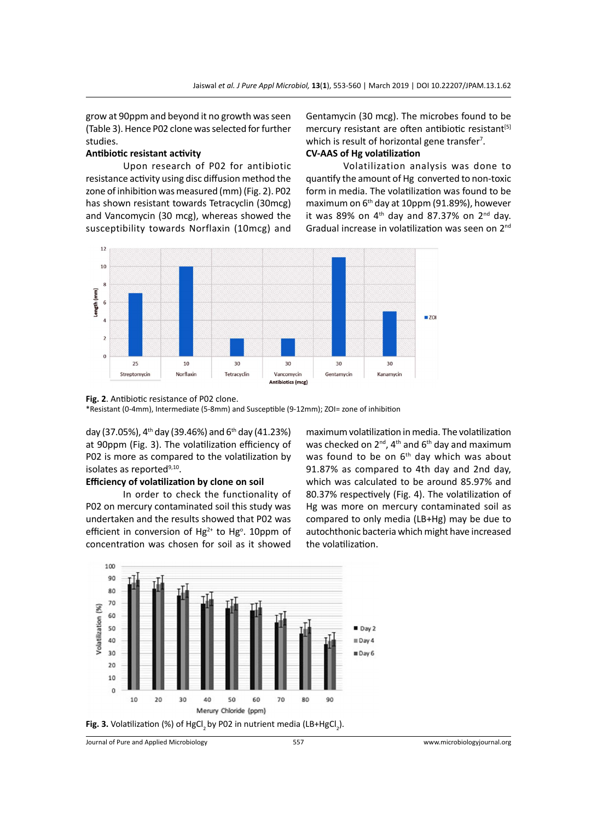grow at 90ppm and beyond it no growth was seen (Table 3). Hence P02 clone was selected for further studies.

#### **Antibiotic resistant activity**

Upon research of P02 for antibiotic resistance activity using disc diffusion method the zone of inhibition was measured (mm) (Fig. 2). P02 has shown resistant towards Tetracyclin (30mcg) and Vancomycin (30 mcg), whereas showed the susceptibility towards Norflaxin (10mcg) and Gentamycin (30 mcg). The microbes found to be mercury resistant are often antibiotic resistant<sup>[5]</sup> which is result of horizontal gene transfer<sup>7</sup>. **CV-AAS of Hg volatilization**

Volatilization analysis was done to quantify the amount of Hg converted to non-toxic form in media. The volatilization was found to be maximum on 6th day at 10ppm (91.89%), however it was 89% on  $4<sup>th</sup>$  day and 87.37% on  $2<sup>nd</sup>$  day. Gradual increase in volatilization was seen on 2nd



**Fig. 2**. Antibiotic resistance of P02 clone.

\*Resistant (0-4mm), Intermediate (5-8mm) and Susceptible (9-12mm); ZOI= zone of inhibition

day (37.05%),  $4^{th}$  day (39.46%) and 6<sup>th</sup> day (41.23%) at 90ppm (Fig. 3). The volatilization efficiency of P02 is more as compared to the volatilization by isolates as reported<sup>9,10</sup>.

### **Efficiency of volatilization by clone on soil**

In order to check the functionality of P02 on mercury contaminated soil this study was undertaken and the results showed that P02 was efficient in conversion of  $Hg^{2+}$  to  $Hg^0$ . 10ppm of concentration was chosen for soil as it showed

maximum volatilization in media. The volatilization was checked on  $2^{nd}$ ,  $4^{th}$  and  $6^{th}$  day and maximum was found to be on  $6<sup>th</sup>$  day which was about 91.87% as compared to 4th day and 2nd day, which was calculated to be around 85.97% and 80.37% respectively (Fig. 4). The volatilization of Hg was more on mercury contaminated soil as compared to only media (LB+Hg) may be due to autochthonic bacteria which might have increased the volatilization.



Journal of Pure and Applied Microbiology 557 www.microbiologyjournal.org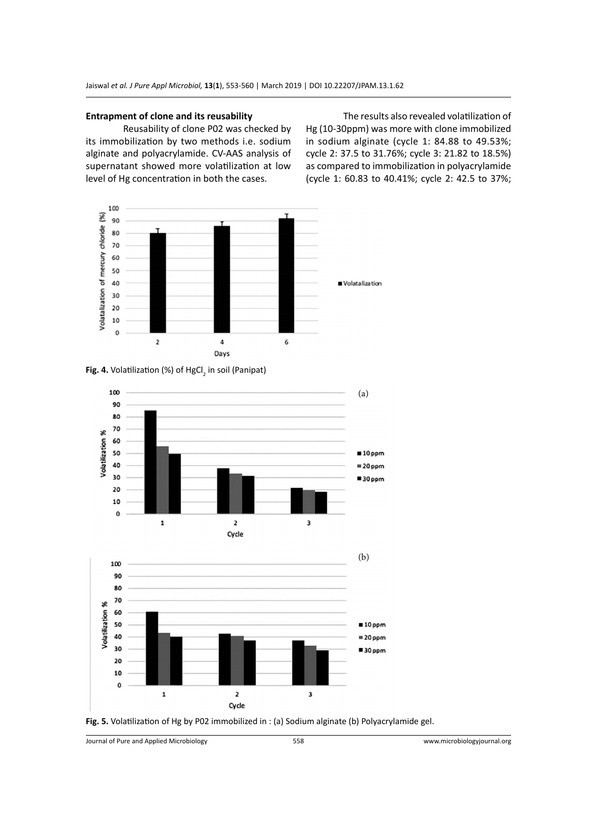#### **Entrapment of clone and its reusability**

Reusability of clone P02 was checked by its immobilization by two methods i.e. sodium alginate and polyacrylamide. CV-AAS analysis of supernatant showed more volatilization at low level of Hg concentration in both the cases.

The results also revealed volatilization of Hg (10-30ppm) was more with clone immobilized in sodium alginate (cycle 1: 84.88 to 49.53%; cycle 2: 37.5 to 31.76%; cycle 3: 21.82 to 18.5%) as compared to immobilization in polyacrylamide (cycle 1: 60.83 to 40.41%; cycle 2: 42.5 to 37%;









Journal of Pure and Applied Microbiology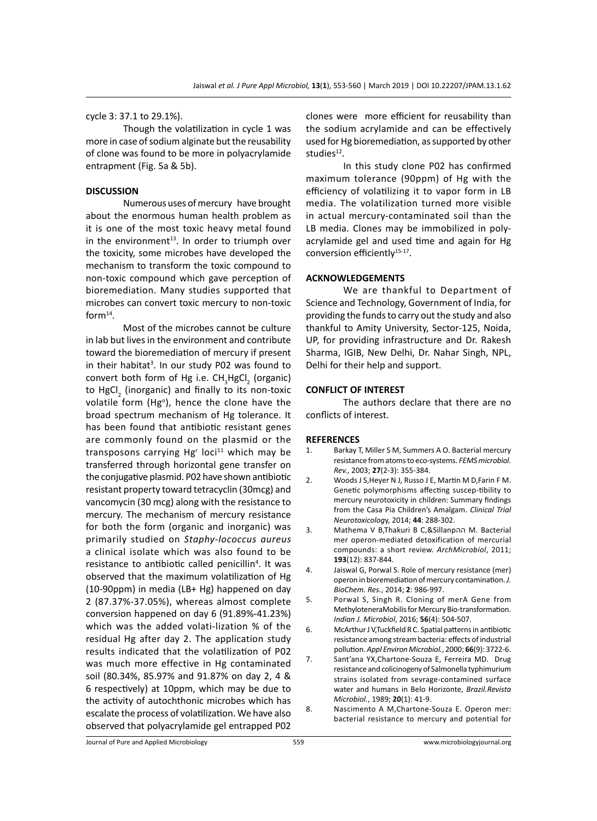cycle 3: 37.1 to 29.1%).

Though the volatilization in cycle 1 was more in case of sodium alginate but the reusability of clone was found to be more in polyacrylamide entrapment (Fig. 5a & 5b).

#### **DISCUSSION**

Numerous uses of mercury have brought about the enormous human health problem as it is one of the most toxic heavy metal found in the environment $13$ . In order to triumph over the toxicity, some microbes have developed the mechanism to transform the toxic compound to non-toxic compound which gave perception of bioremediation. Many studies supported that microbes can convert toxic mercury to non-toxic for $m^{14}$ .

Most of the microbes cannot be culture in lab but lives in the environment and contribute toward the bioremediation of mercury if present in their habitat<sup>3</sup>. In our study P02 was found to convert both form of Hg i.e.  $CH_3HgCl_2$  (organic) to HgCl<sub>2</sub> (inorganic) and finally to its non-toxic volatile form (Hg<sup>o</sup>), hence the clone have the broad spectrum mechanism of Hg tolerance. It has been found that antibiotic resistant genes are commonly found on the plasmid or the transposons carrying Hg<sup>r</sup> loci<sup>11</sup> which may be transferred through horizontal gene transfer on the conjugative plasmid. P02 have shown antibiotic resistant property toward tetracyclin (30mcg) and vancomycin (30 mcg) along with the resistance to mercury. The mechanism of mercury resistance for both the form (organic and inorganic) was primarily studied on *Staphy-lococcus aureus* a clinical isolate which was also found to be resistance to antibiotic called penicillin<sup>4</sup>. It was observed that the maximum volatilization of Hg (10-90ppm) in media (LB+ Hg) happened on day 2 (87.37%-37.05%), whereas almost complete conversion happened on day 6 (91.89%-41.23%) which was the added volati-lization % of the residual Hg after day 2. The application study results indicated that the volatilization of P02 was much more effective in Hg contaminated soil (80.34%, 85.97% and 91.87% on day 2, 4 & 6 respectively) at 10ppm, which may be due to the activity of autochthonic microbes which has escalate the process of volatilization. We have also observed that polyacrylamide gel entrapped P02

clones were more efficient for reusability than the sodium acrylamide and can be effectively used for Hg bioremediation, as supported by other studies $12$ .

In this study clone P02 has confirmed maximum tolerance (90ppm) of Hg with the efficiency of volatilizing it to vapor form in LB media. The volatilization turned more visible in actual mercury-contaminated soil than the LB media. Clones may be immobilized in polyacrylamide gel and used time and again for Hg conversion efficiently<sup>15-17</sup>.

#### **ACKNOWLEDGEMENTS**

We are thankful to Department of Science and Technology, Government of India, for providing the funds to carry out the study and also thankful to Amity University, Sector-125, Noida, UP, for providing infrastructure and Dr. Rakesh Sharma, IGIB, New Delhi, Dr. Nahar Singh, NPL, Delhi for their help and support.

#### **CONFLICT OF INTEREST**

The authors declare that there are no conflicts of interest.

#### **REFERENCES**

- 1. Barkay T, Miller S M, Summers A O. Bacterial mercury resistance from atoms to eco-systems. *FEMS microbiol. Rev.*, 2003; **27**(2-3): 355-384.
- 2. Woods J S,Heyer N J, Russo J E, Martin M D,Farin F M. Genetic polymorphisms affecting suscep-tibility to mercury neurotoxicity in children: Summary findings from the Casa Pia Children's Amalgam. *Clinical Trial Neurotoxicolog*y, 2014; **44**: 288-302.
- 3. Mathema V B,Thakuri B C,&Sillanpהה M. Bacterial mer operon-mediated detoxification of mercurial compounds: a short review. *ArchMicrobiol*, 2011; **193**(12): 837-844.
- 4. Jaiswal G, Porwal S. Role of mercury resistance (mer) operon in bioremediation of mercury contamination.*J. BioChem. Res.*, 2014; **2**: 986-997.
- 5. Porwal S, Singh R. Cloning of merA Gene from MethyloteneraMobilis for Mercury Bio-transformation. *Indian J. Microbiol*, 2016; **56**(4): 504-507.
- 6. McArthur J V,Tuckfield R C. Spatial patterns in antibiotic resistance among stream bacteria: effects of industrial pollution. *Appl Environ Microbiol.*, 2000; **66**(9): 3722-6.
- 7. Sant'ana YX,Chartone-Souza E, Ferreira MD. Drug resistance and colicinogeny of Salmonella typhimurium strains isolated from sevrage-contamined surface water and humans in Belo Horizonte, *Brazil.Revista Microbiol.*, 1989; **20**(1): 41-9.
- 8. Nascimento A M,Chartone-Souza E. Operon mer: bacterial resistance to mercury and potential for